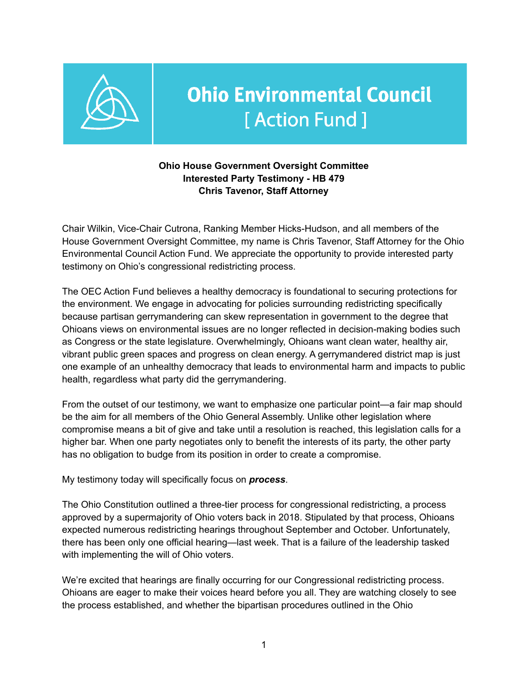

# **Ohio Environmental Council** [Action Fund]

#### **Ohio House Government Oversight Committee Interested Party Testimony - HB 479 Chris Tavenor, Staff Attorney**

Chair Wilkin, Vice-Chair Cutrona, Ranking Member Hicks-Hudson, and all members of the House Government Oversight Committee, my name is Chris Tavenor, Staff Attorney for the Ohio Environmental Council Action Fund. We appreciate the opportunity to provide interested party testimony on Ohio's congressional redistricting process.

The OEC Action Fund believes a healthy democracy is foundational to securing protections for the environment. We engage in advocating for policies surrounding redistricting specifically because partisan gerrymandering can skew representation in government to the degree that Ohioans views on environmental issues are no longer reflected in decision-making bodies such as Congress or the state legislature. Overwhelmingly, Ohioans want clean water, healthy air, vibrant public green spaces and progress on clean energy. A gerrymandered district map is just one example of an unhealthy democracy that leads to environmental harm and impacts to public health, regardless what party did the gerrymandering.

From the outset of our testimony, we want to emphasize one particular point—a fair map should be the aim for all members of the Ohio General Assembly. Unlike other legislation where compromise means a bit of give and take until a resolution is reached, this legislation calls for a higher bar. When one party negotiates only to benefit the interests of its party, the other party has no obligation to budge from its position in order to create a compromise.

My testimony today will specifically focus on *process*.

The Ohio Constitution outlined a three-tier process for congressional redistricting, a process approved by a supermajority of Ohio voters back in 2018. Stipulated by that process, Ohioans expected numerous redistricting hearings throughout September and October. Unfortunately, there has been only one official hearing—last week. That is a failure of the leadership tasked with implementing the will of Ohio voters.

We're excited that hearings are finally occurring for our Congressional redistricting process. Ohioans are eager to make their voices heard before you all. They are watching closely to see the process established, and whether the bipartisan procedures outlined in the Ohio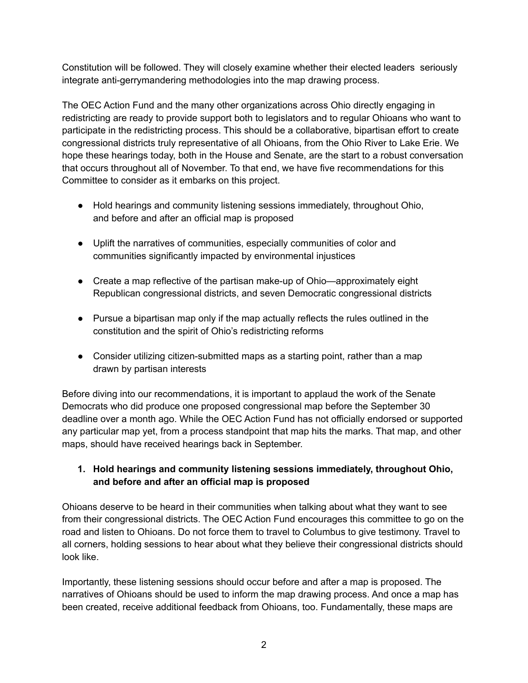Constitution will be followed. They will closely examine whether their elected leaders seriously integrate anti-gerrymandering methodologies into the map drawing process.

The OEC Action Fund and the many other organizations across Ohio directly engaging in redistricting are ready to provide support both to legislators and to regular Ohioans who want to participate in the redistricting process. This should be a collaborative, bipartisan effort to create congressional districts truly representative of all Ohioans, from the Ohio River to Lake Erie. We hope these hearings today, both in the House and Senate, are the start to a robust conversation that occurs throughout all of November. To that end, we have five recommendations for this Committee to consider as it embarks on this project.

- Hold hearings and community listening sessions immediately, throughout Ohio, and before and after an official map is proposed
- Uplift the narratives of communities, especially communities of color and communities significantly impacted by environmental injustices
- Create a map reflective of the partisan make-up of Ohio—approximately eight Republican congressional districts, and seven Democratic congressional districts
- Pursue a bipartisan map only if the map actually reflects the rules outlined in the constitution and the spirit of Ohio's redistricting reforms
- Consider utilizing citizen-submitted maps as a starting point, rather than a map drawn by partisan interests

Before diving into our recommendations, it is important to applaud the work of the Senate Democrats who did produce one proposed congressional map before the September 30 deadline over a month ago. While the OEC Action Fund has not officially endorsed or supported any particular map yet, from a process standpoint that map hits the marks. That map, and other maps, should have received hearings back in September.

#### **1. Hold hearings and community listening sessions immediately, throughout Ohio, and before and after an official map is proposed**

Ohioans deserve to be heard in their communities when talking about what they want to see from their congressional districts. The OEC Action Fund encourages this committee to go on the road and listen to Ohioans. Do not force them to travel to Columbus to give testimony. Travel to all corners, holding sessions to hear about what they believe their congressional districts should look like.

Importantly, these listening sessions should occur before and after a map is proposed. The narratives of Ohioans should be used to inform the map drawing process. And once a map has been created, receive additional feedback from Ohioans, too. Fundamentally, these maps are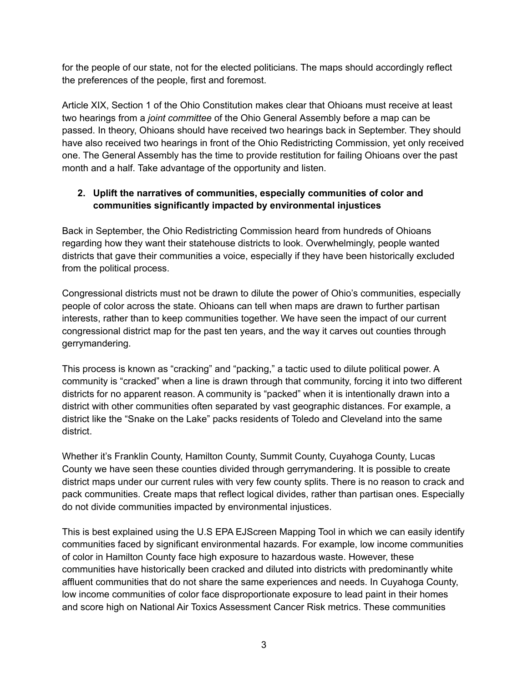for the people of our state, not for the elected politicians. The maps should accordingly reflect the preferences of the people, first and foremost.

Article XIX, Section 1 of the Ohio Constitution makes clear that Ohioans must receive at least two hearings from a *joint committee* of the Ohio General Assembly before a map can be passed. In theory, Ohioans should have received two hearings back in September. They should have also received two hearings in front of the Ohio Redistricting Commission, yet only received one. The General Assembly has the time to provide restitution for failing Ohioans over the past month and a half. Take advantage of the opportunity and listen.

## **2. Uplift the narratives of communities, especially communities of color and communities significantly impacted by environmental injustices**

Back in September, the Ohio Redistricting Commission heard from hundreds of Ohioans regarding how they want their statehouse districts to look. Overwhelmingly, people wanted districts that gave their communities a voice, especially if they have been historically excluded from the political process.

Congressional districts must not be drawn to dilute the power of Ohio's communities, especially people of color across the state. Ohioans can tell when maps are drawn to further partisan interests, rather than to keep communities together. We have seen the impact of our current congressional district map for the past ten years, and the way it carves out counties through gerrymandering.

This process is known as "cracking" and "packing," a tactic used to dilute political power. A community is "cracked" when a line is drawn through that community, forcing it into two different districts for no apparent reason. A community is "packed" when it is intentionally drawn into a district with other communities often separated by vast geographic distances. For example, a district like the "Snake on the Lake" packs residents of Toledo and Cleveland into the same district.

Whether it's Franklin County, Hamilton County, Summit County, Cuyahoga County, Lucas County we have seen these counties divided through gerrymandering. It is possible to create district maps under our current rules with very few county splits. There is no reason to crack and pack communities. Create maps that reflect logical divides, rather than partisan ones. Especially do not divide communities impacted by environmental injustices.

This is best explained using the U.S EPA EJScreen Mapping Tool in which we can easily identify communities faced by significant environmental hazards. For example, low income communities of color in Hamilton County face high exposure to hazardous waste. However, these communities have historically been cracked and diluted into districts with predominantly white affluent communities that do not share the same experiences and needs. In Cuyahoga County, low income communities of color face disproportionate exposure to lead paint in their homes and score high on National Air Toxics Assessment Cancer Risk metrics. These communities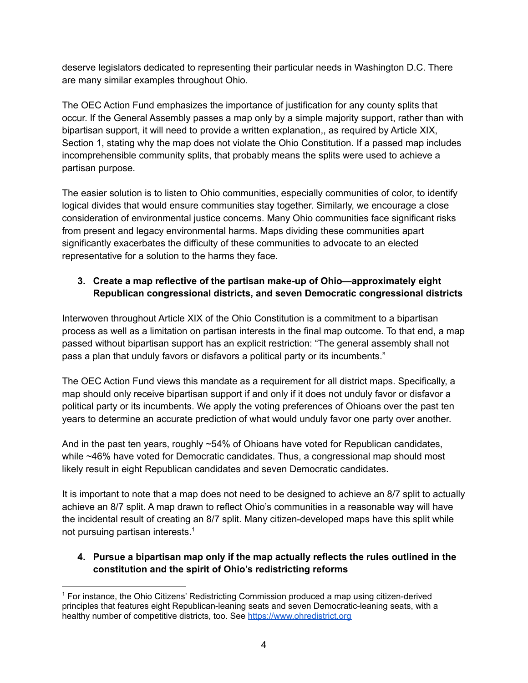deserve legislators dedicated to representing their particular needs in Washington D.C. There are many similar examples throughout Ohio.

The OEC Action Fund emphasizes the importance of justification for any county splits that occur. If the General Assembly passes a map only by a simple majority support, rather than with bipartisan support, it will need to provide a written explanation,, as required by Article XIX, Section 1, stating why the map does not violate the Ohio Constitution. If a passed map includes incomprehensible community splits, that probably means the splits were used to achieve a partisan purpose.

The easier solution is to listen to Ohio communities, especially communities of color, to identify logical divides that would ensure communities stay together. Similarly, we encourage a close consideration of environmental justice concerns. Many Ohio communities face significant risks from present and legacy environmental harms. Maps dividing these communities apart significantly exacerbates the difficulty of these communities to advocate to an elected representative for a solution to the harms they face.

## **3. Create a map reflective of the partisan make-up of Ohio—approximately eight Republican congressional districts, and seven Democratic congressional districts**

Interwoven throughout Article XIX of the Ohio Constitution is a commitment to a bipartisan process as well as a limitation on partisan interests in the final map outcome. To that end, a map passed without bipartisan support has an explicit restriction: "The general assembly shall not pass a plan that unduly favors or disfavors a political party or its incumbents."

The OEC Action Fund views this mandate as a requirement for all district maps. Specifically, a map should only receive bipartisan support if and only if it does not unduly favor or disfavor a political party or its incumbents. We apply the voting preferences of Ohioans over the past ten years to determine an accurate prediction of what would unduly favor one party over another.

And in the past ten years, roughly ~54% of Ohioans have voted for Republican candidates, while ~46% have voted for Democratic candidates. Thus, a congressional map should most likely result in eight Republican candidates and seven Democratic candidates.

It is important to note that a map does not need to be designed to achieve an 8/7 split to actually achieve an 8/7 split. A map drawn to reflect Ohio's communities in a reasonable way will have the incidental result of creating an 8/7 split. Many citizen-developed maps have this split while not pursuing partisan interests. 1

## **4. Pursue a bipartisan map only if the map actually reflects the rules outlined in the constitution and the spirit of Ohio's redistricting reforms**

<sup>1</sup> For instance, the Ohio Citizens' Redistricting Commission produced a map using citizen-derived principles that features eight Republican-leaning seats and seven Democratic-leaning seats, with a healthy number of competitive districts, too. See <https://www.ohredistrict.org>